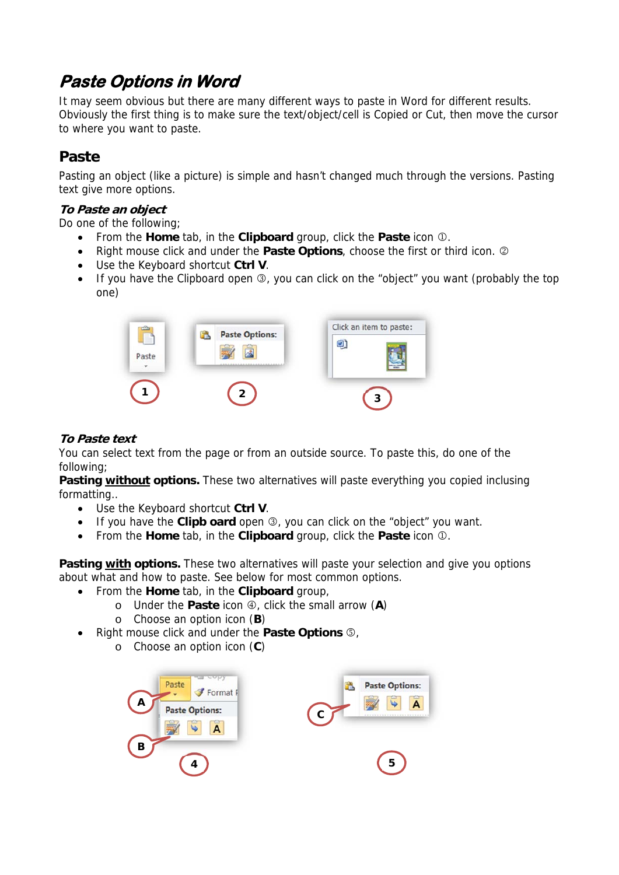# **Paste Options in Word**

It may seem obvious but there are many different ways to paste in Word for different results. Obviously the first thing is to make sure the text/object/cell is Copied or Cut, then move the cursor to where you want to paste.

## **Paste**

Pasting an object (like a picture) is simple and hasn't changed much through the versions. Pasting text give more options.

#### **To Paste an object**

Do one of the following;

- From the **Home** tab, in the **Clipboard** group, click the **Paste** icon  $\Phi$ .
- Right mouse click and under the **Paste Options**, choose the first or third icon.
- Use the Keyboard shortcut **Ctrl V**.
- If you have the Clipboard open  $\mathcal{D}$ , you can click on the "object" you want (probably the top one)



#### **To Paste text**

You can select text from the page or from an outside source. To paste this, do one of the following;

**Pasting without options.** These two alternatives will paste everything you copied inclusing formatting..

- Use the Keyboard shortcut **Ctrl V**.
- If you have the **Clipb oard** open **3**, you can click on the "object" you want.
- From the **Home** tab, in the **Clipboard** group, click the **Paste** icon  $\Phi$ .

Pasting with options. These two alternatives will paste your selection and give you options about what and how to paste. See below for most common options.

- From the **Home** tab, in the **Clipboard** group,
	- o Under the **Paste** icon  $\oplus$ , click the small arrow (A)
	- o Choose an option icon (**B**)
- Right mouse click and under the **Paste Options**  $\circ$ .
	- o Choose an option icon (**C**)